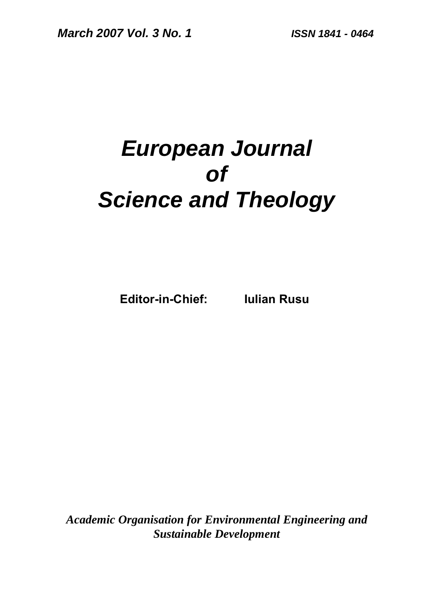# *European Journal of Science and Theology*

**Editor-in-Chief: Iulian Rusu** 

*Academic Organisation for Environmental Engineering and Sustainable Development*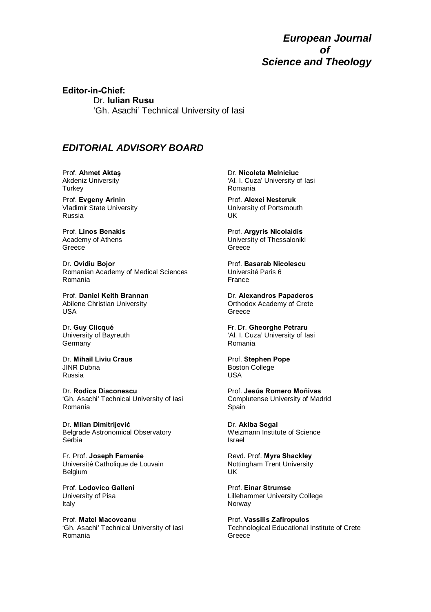#### *European Journal of Science and Theology*

**Editor-in-Chief:**  Dr. **Iulian Rusu**  'Gh. Asachi' Technical University of Iasi

#### *EDITORIAL ADVISORY BOARD*

Prof. **Ahmet Aktaş** Akdeniz University **Turkey** 

Prof. **Evgeny Arinin** Vladimir State University Russia

Prof. **Linos Benakis** Academy of Athens Greece

Dr. **Ovidiu Bojor**  Romanian Academy of Medical Sciences Romania

Prof. **Daniel Keith Brannan** Abilene Christian University USA

Dr. **Guy Clicqué**  University of Bayreuth Germany

Dr. **Mihail Liviu Craus** JINR Dubna Russia

Dr. **Rodica Diaconescu** 'Gh. Asachi' Technical University of Iasi Romania

Dr. **Milan Dimitrijević** Belgrade Astronomical Observatory Serbia

Fr. Prof. **Joseph Famerée**  Université Catholique de Louvain Belgium

Prof. **Lodovico Galleni**  University of Pisa Italy

Prof. **Matei Macoveanu** 'Gh. Asachi' Technical University of Iasi Romania

Dr. **Nicoleta Melniciuc** 'Al. I. Cuza' University of Iasi Romania

Prof. **Alexei Nesteruk** University of Portsmouth UK

Prof. **Argyris Nicolaidis** University of Thessaloniki Greece

Prof. **Basarab Nicolescu**  Université Paris 6 France

Dr. **Alexandros Papaderos**  Orthodox Academy of Crete Greece

Fr. Dr. **Gheorghe Petraru** 'Al. I. Cuza' University of Iasi Romania

Prof. **Stephen Pope** Boston College USA

Prof. **Jesús Romero Moñivas** Complutense University of Madrid Spain

Dr. **Akiba Segal**  Weizmann Institute of Science Israel

Revd. Prof. **Myra Shackley** Nottingham Trent University UK

Prof. **Einar Strumse**  Lillehammer University College Norway

Prof. **Vassilis Zafiropulos**  Technological Educational Institute of Crete Greece